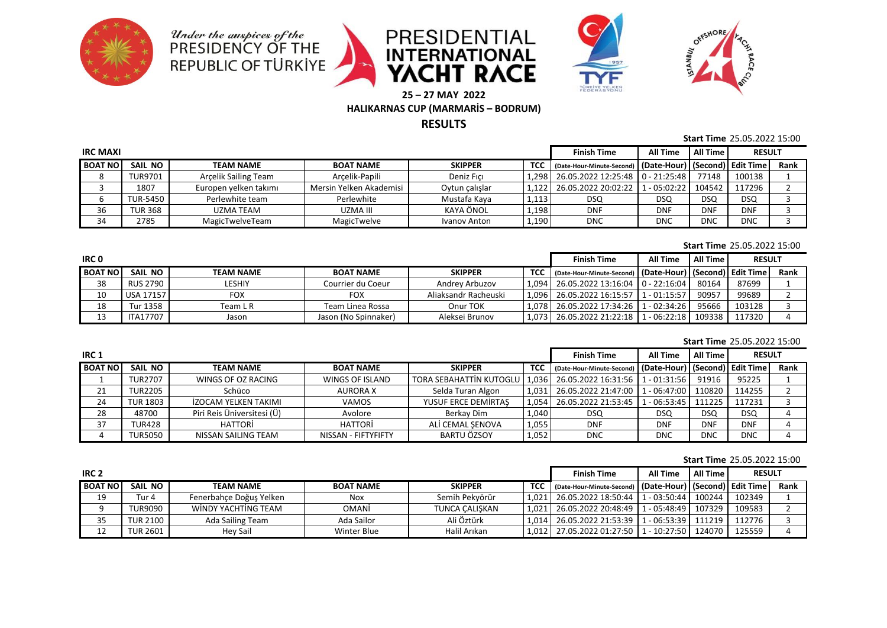









**25 – 27 MAY 2022**

# **HALIKARNAS CUP (MARMARİS – BODRUM)**

**RESULTS**

### **Start Time** 25.05.2022 15:00

| <b>IRC MAXI</b> |                |                       |                         |                |           | <b>Finish Time</b>                                             | All Time   | All Time   | <b>RESULT</b> |      |
|-----------------|----------------|-----------------------|-------------------------|----------------|-----------|----------------------------------------------------------------|------------|------------|---------------|------|
| <b>BOAT NO</b>  | SAIL NO        | <b>TEAM NAME</b>      | <b>BOAT NAME</b>        | <b>SKIPPER</b> | TCC       | (Date-Hour-Minute-Second)   (Date-Hour)   (Second)   Edit Time |            |            |               | Rank |
|                 | <b>TUR9701</b> | Arcelik Sailing Team  | Arcelik-Papili          | Deniz Fici     | 1,298     | $\mid$ 26.05.2022 12:25:48 $\mid$ 0 - 21:25:48 $\mid$          |            | 77148      | 100138        |      |
|                 | 1807           | Europen yelken takımı | Mersin Yelken Akademisi | Oytun çalışlar | $1.122$ J | 26.05.2022 20:02:22   1 - 05:02:22   104542                    |            |            | 117296        |      |
|                 | TUR-5450       | Perlewhite team       | Perlewhite              | Mustafa Kava   | 1,113     | DSQ                                                            | <b>DSQ</b> | <b>DSQ</b> | DSQ           |      |
| 36              | <b>TUR 368</b> | UZMA TEAM             | UZMA III                | KAYA ÖNOL      | 1,198     | <b>DNF</b>                                                     | <b>DNF</b> | <b>DNF</b> | <b>DNF</b>    |      |
| 34              | 2785           | MagicTwelveTeam       | MagicTwelve             | Ivanov Anton   | 1,190     | DNC                                                            | <b>DNC</b> | <b>DNC</b> | <b>DNC</b>    |      |

### **Start Time** 25.05.2022 15:00

| IRC <sub>0</sub> |                 |                  |                      |                      |  | <b>Finish Time</b>                                                   | <b>All Time</b> | All Time | <b>RESULT</b> |      |
|------------------|-----------------|------------------|----------------------|----------------------|--|----------------------------------------------------------------------|-----------------|----------|---------------|------|
| <b>BOAT NO</b>   | SAIL NO         | <b>TEAM NAME</b> | <b>BOAT NAME</b>     | <b>SKIPPER</b>       |  | TCC   (Date-Hour-Minute-Second)   (Date-Hour)   (Second)   Edit Time |                 |          |               | Rank |
| 38               | RUS 2790        | LESHIY           | Courrier du Coeur    | Andrey Arbuzov       |  | 1.094 26.05.2022 13:16:04 0 - 22:16:04                               |                 | 80164    | 87699         |      |
| 10               | USA 17157       | FOX              | <b>FOX</b>           | Aliaksandr Racheuski |  | 1.096 26.05.2022 16:15:57 1 - 01:15:57                               |                 | 90957    | 99689         |      |
| 18               | Tur 1358        | Team L R         | Team Linea Rossa     | Onur TOK             |  | 1.078 26.05.2022 17:34:26 1 - 02:34:26                               |                 | 95666    | 103128        |      |
|                  | <b>ITA17707</b> | Jason            | Jason (No Spinnaker) | Aleksei Brunov       |  | 1.073 26.05.2022 21:22:18 1 - 06:22:18 109338                        |                 |          | 117320        |      |

#### **Start Time** 25.05.2022 15:00

| IRC <sub>1</sub> |                 |                            |                     |                                                                      |            | <b>Finish Time</b>                                             | All Time   | <b>All Time</b> | <b>RESULT</b> |      |
|------------------|-----------------|----------------------------|---------------------|----------------------------------------------------------------------|------------|----------------------------------------------------------------|------------|-----------------|---------------|------|
| <b>BOAT NO</b>   | SAIL NO         | <b>TEAM NAME</b>           | <b>BOAT NAME</b>    | <b>SKIPPER</b>                                                       | <b>TCC</b> | (Date-Hour-Minute-Second)   (Date-Hour)   (Second)   Edit Time |            |                 |               | Rank |
|                  | <b>TUR2707</b>  | WINGS OF OZ RACING         | WINGS OF ISLAND     | TORA SEBAHATTIN KUTOGLU   1,036   26.05.2022 16:31:56   1 - 01:31:56 |            |                                                                |            | 91916           | 95225         |      |
| 21               | <b>TUR2205</b>  | Schüco                     | <b>AURORAX</b>      | Selda Turan Algon                                                    |            | 1.031 26.05.2022 21:47:00 1 - 06:47:00 110820                  |            |                 | 114255        |      |
| 24               | <b>TUR 1803</b> | İZOCAM YELKEN TAKIMI       | <b>VAMOS</b>        | YUSUF ERCE DEMIRTAS                                                  |            | 1.054 26.05.2022 21:53:45 1 - 06:53:45 111225                  |            |                 | 117231        |      |
| 28               | 48700           | Piri Reis Üniversitesi (Ü) | Avolore             | Berkav Dim                                                           | 1,040      | <b>DSQ</b>                                                     | <b>DSQ</b> | <b>DSQ</b>      | <b>DSQ</b>    |      |
| 37               | <b>TUR428</b>   | <b>HATTORI</b>             | HATTORİ             | ALI CEMAL SENOVA                                                     | 1,055      | <b>DNF</b>                                                     | <b>DNF</b> | <b>DNF</b>      | <b>DNF</b>    |      |
|                  | TUR5050         | NISSAN SAILING TEAM        | NISSAN - FIFTYFIFTY | BARTU ÖZSOY                                                          | 1,052      | <b>DNC</b>                                                     | <b>DNC</b> | <b>DNC</b>      | <b>DNC</b>    |      |

#### **Start Time** 25.05.2022 15:00

| IRC <sub>2</sub> |                 |                         |                  |                       |  | <b>Finish Time</b>                                                   | All Time | All Time | <b>RESULT</b> |      |
|------------------|-----------------|-------------------------|------------------|-----------------------|--|----------------------------------------------------------------------|----------|----------|---------------|------|
| <b>BOAT NO</b>   | SAIL NO         | <b>TEAM NAME</b>        | <b>BOAT NAME</b> | <b>SKIPPER</b>        |  | TCC   (Date-Hour-Minute-Second)   (Date-Hour)   (Second)   Edit Time |          |          |               | Rank |
| 19               | Tur 4           | Fenerbahce Doğus Yelken | <b>Nox</b>       | Semih Pekvörür        |  | 1.021   26.05.2022 18:50:44   1 - 03:50:44   100244                  |          |          | 102349        |      |
|                  | TUR9090         | WINDY YACHTING TEAM     | <b>OMANI</b>     | <b>TUNCA CALISKAN</b> |  | 1.021   26.05.2022 20:48:49   1 - 05:48:49   107329                  |          |          | 109583        |      |
| 35               | <b>TUR 2100</b> | Ada Sailing Team        | Ada Sailor       | Ali Öztürk            |  | 1.014   26.05.2022 21:53:39   1 - 06:53:39   111219                  |          |          | 112776        |      |
| 12               | <b>TUR 2601</b> | Hev Sail                | Winter Blue      | Halil Arıkan          |  | 1,012   27.05.2022 01:27:50   1 - 10:27:50   124070                  |          |          | 125559        |      |